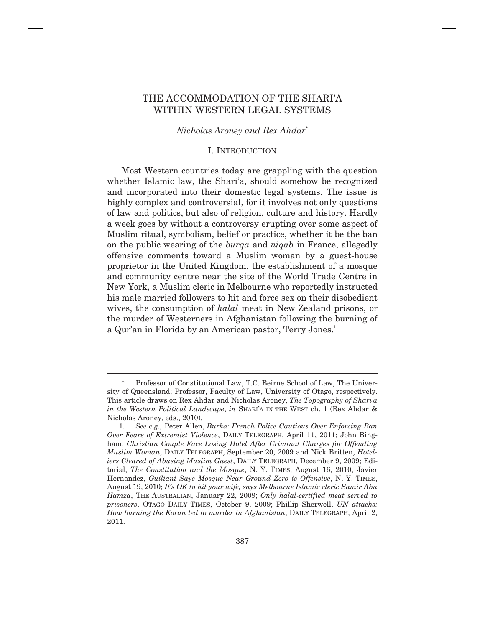# THE ACCOMMODATION OF THE SHARI'A WITHIN WESTERN LEGAL SYSTEMS

## *Nicholas Aroney and Rex Ahdar\**

## I. INTRODUCTION

Most Western countries today are grappling with the question whether Islamic law, the Shari'a, should somehow be recognized and incorporated into their domestic legal systems. The issue is highly complex and controversial, for it involves not only questions of law and politics, but also of religion, culture and history. Hardly a week goes by without a controversy erupting over some aspect of Muslim ritual, symbolism, belief or practice, whether it be the ban on the public wearing of the *burqa* and *niqab* in France, allegedly offensive comments toward a Muslim woman by a guest-house proprietor in the United Kingdom, the establishment of a mosque and community centre near the site of the World Trade Centre in New York, a Muslim cleric in Melbourne who reportedly instructed his male married followers to hit and force sex on their disobedient wives, the consumption of *halal* meat in New Zealand prisons, or the murder of Westerners in Afghanistan following the burning of a Qur'an in Florida by an American pastor, Terry Jones.<sup>1</sup>

Professor of Constitutional Law, T.C. Beirne School of Law, The University of Queensland; Professor, Faculty of Law, University of Otago, respectively. This article draws on Rex Ahdar and Nicholas Aroney, *The Topography of Shari'a in the Western Political Landscape*, *in* SHARI'A IN THE WEST ch. 1 (Rex Ahdar & Nicholas Aroney, eds., 2010).

 <sup>1</sup>*. See e.g.,* Peter Allen, *Burka: French Police Cautious Over Enforcing Ban Over Fears of Extremist Violence*, DAILY TELEGRAPH, April 11, 2011; John Bingham, *Christian Couple Face Losing Hotel After Criminal Charges for Offending Muslim Woman*, DAILY TELEGRAPH, September 20, 2009 and Nick Britten, *Hoteliers Cleared of Abusing Muslim Guest*, DAILY TELEGRAPH, December 9, 2009; Editorial, *The Constitution and the Mosque*, N. Y. TIMES, August 16, 2010; Javier Hernandez, *Guiliani Says Mosque Near Ground Zero is Offensive*, N. Y. TIMES, August 19, 2010; *It's OK to hit your wife, says Melbourne Islamic cleric Samir Abu Hamza*, THE AUSTRALIAN, January 22, 2009; *Only halal-certified meat served to prisoners*, OTAGO DAILY TIMES, October 9, 2009; Phillip Sherwell, *UN attacks: How burning the Koran led to murder in Afghanistan*, DAILY TELEGRAPH, April 2, 2011.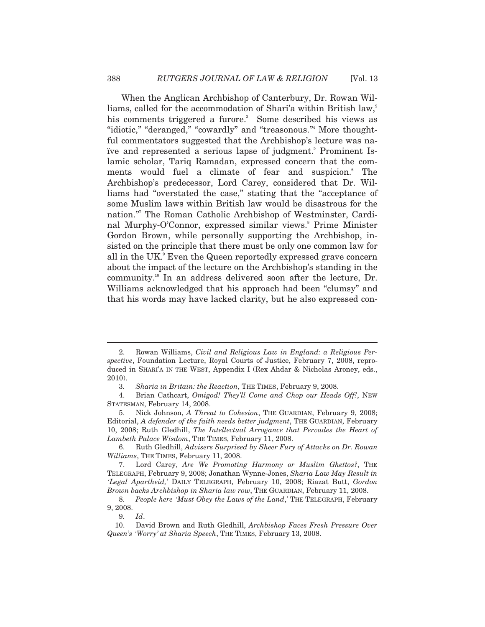When the Anglican Archbishop of Canterbury, Dr. Rowan Williams, called for the accommodation of Shari'a within British law,<sup>2</sup> his comments triggered a furore.<sup>3</sup> Some described his views as "idiotic," "deranged," "cowardly" and "treasonous."4 More thoughtful commentators suggested that the Archbishop's lecture was naive and represented a serious lapse of judgment.<sup>5</sup> Prominent Islamic scholar, Tariq Ramadan, expressed concern that the comments would fuel a climate of fear and suspicion.<sup>6</sup> The Archbishop's predecessor, Lord Carey, considered that Dr. Williams had "overstated the case," stating that the "acceptance of some Muslim laws within British law would be disastrous for the nation."7 The Roman Catholic Archbishop of Westminster, Cardinal Murphy-O'Connor, expressed similar views.<sup>8</sup> Prime Minister Gordon Brown, while personally supporting the Archbishop, insisted on the principle that there must be only one common law for all in the UK.<sup>9</sup> Even the Queen reportedly expressed grave concern about the impact of the lecture on the Archbishop's standing in the community.10 In an address delivered soon after the lecture, Dr. Williams acknowledged that his approach had been "clumsy" and that his words may have lacked clarity, but he also expressed con-

 <sup>2.</sup> Rowan Williams, *Civil and Religious Law in England: a Religious Perspective*, Foundation Lecture, Royal Courts of Justice, February 7, 2008, reproduced in SHARI'A IN THE WEST, Appendix I (Rex Ahdar & Nicholas Aroney, eds., 2010).

 <sup>3</sup>*. Sharia in Britain: the Reaction*, THE TIMES, February 9, 2008.

 <sup>4.</sup> Brian Cathcart, *Omigod! They'll Come and Chop our Heads Off!*, NEW STATESMAN, February 14, 2008.

 <sup>5.</sup> Nick Johnson, *A Threat to Cohesion*, THE GUARDIAN, February 9, 2008; Editorial, *A defender of the faith needs better judgment*, THE GUARDIAN, February 10, 2008; Ruth Gledhill, *The Intellectual Arrogance that Pervades the Heart of Lambeth Palace Wisdom*, THE TIMES, February 11, 2008.

 <sup>6.</sup> Ruth Gledhill, *Advisers Surprised by Sheer Fury of Attacks on Dr. Rowan Williams*, THE TIMES, February 11, 2008.

 <sup>7.</sup> Lord Carey, *Are We Promoting Harmony or Muslim Ghettos?*, THE TELEGRAPH, February 9, 2008; Jonathan Wynne-Jones, *Sharia Law May Result in 'Legal Apartheid,'* DAILY TELEGRAPH, February 10, 2008; Riazat Butt, *Gordon Brown backs Archbishop in Sharia law row*, THE GUARDIAN, February 11, 2008.

 <sup>8</sup>*. People here 'Must Obey the Laws of the Land*,*'* THE TELEGRAPH, February 9, 2008.

 <sup>9</sup>*. Id*.

 <sup>10.</sup> David Brown and Ruth Gledhill, *Archbishop Faces Fresh Pressure Over Queen's 'Worry' at Sharia Speech*, THE TIMES, February 13, 2008.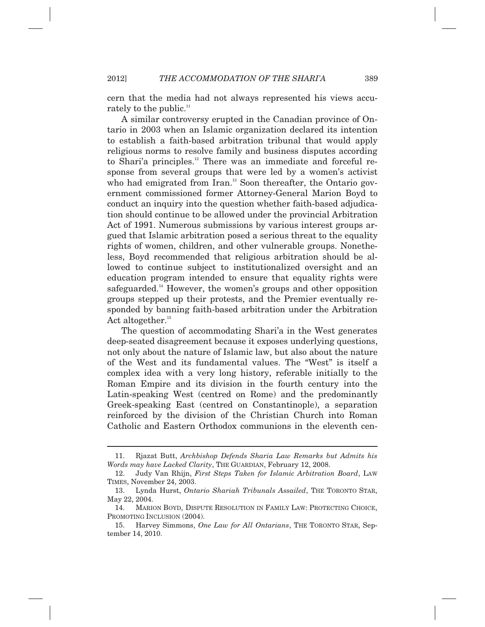cern that the media had not always represented his views accurately to the public. $11$ 

A similar controversy erupted in the Canadian province of Ontario in 2003 when an Islamic organization declared its intention to establish a faith-based arbitration tribunal that would apply religious norms to resolve family and business disputes according to Shari'a principles.<sup>12</sup> There was an immediate and forceful response from several groups that were led by a women's activist who had emigrated from Iran.<sup>13</sup> Soon thereafter, the Ontario government commissioned former Attorney-General Marion Boyd to conduct an inquiry into the question whether faith-based adjudication should continue to be allowed under the provincial Arbitration Act of 1991. Numerous submissions by various interest groups argued that Islamic arbitration posed a serious threat to the equality rights of women, children, and other vulnerable groups. Nonetheless, Boyd recommended that religious arbitration should be allowed to continue subject to institutionalized oversight and an education program intended to ensure that equality rights were safeguarded.<sup>14</sup> However, the women's groups and other opposition groups stepped up their protests, and the Premier eventually responded by banning faith-based arbitration under the Arbitration Act altogether. $15$ 

The question of accommodating Shari'a in the West generates deep-seated disagreement because it exposes underlying questions, not only about the nature of Islamic law, but also about the nature of the West and its fundamental values. The "West" is itself a complex idea with a very long history, referable initially to the Roman Empire and its division in the fourth century into the Latin-speaking West (centred on Rome) and the predominantly Greek-speaking East (centred on Constantinople), a separation reinforced by the division of the Christian Church into Roman Catholic and Eastern Orthodox communions in the eleventh cen-

 <sup>11.</sup> Rjazat Butt, *Archbishop Defends Sharia Law Remarks but Admits his Words may have Lacked Clarity*, THE GUARDIAN, February 12, 2008.

 <sup>12.</sup> Judy Van Rhijn, *First Steps Taken for Islamic Arbitration Board*, LAW TIMES, November 24, 2003.

 <sup>13.</sup> Lynda Hurst, *Ontario Shariah Tribunals Assailed*, THE TORONTO STAR, May 22, 2004.

 <sup>14.</sup> MARION BOYD, DISPUTE RESOLUTION IN FAMILY LAW: PROTECTING CHOICE, PROMOTING INCLUSION  $(2004)$ .

 <sup>15.</sup> Harvey Simmons, *One Law for All Ontarians*, THE TORONTO STAR, September 14, 2010.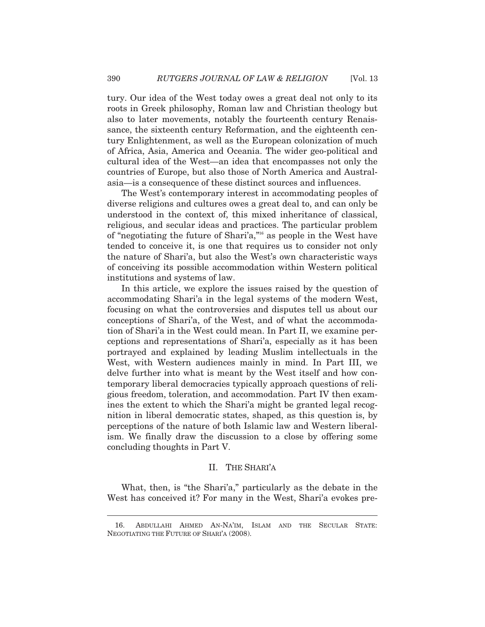tury. Our idea of the West today owes a great deal not only to its roots in Greek philosophy, Roman law and Christian theology but also to later movements, notably the fourteenth century Renaissance, the sixteenth century Reformation, and the eighteenth century Enlightenment, as well as the European colonization of much of Africa, Asia, America and Oceania. The wider geo-political and cultural idea of the West—an idea that encompasses not only the countries of Europe, but also those of North America and Australasia—is a consequence of these distinct sources and influences.

The West's contemporary interest in accommodating peoples of diverse religions and cultures owes a great deal to, and can only be understood in the context of, this mixed inheritance of classical, religious, and secular ideas and practices. The particular problem of "negotiating the future of Shari'a,"16 as people in the West have tended to conceive it, is one that requires us to consider not only the nature of Shari'a, but also the West's own characteristic ways of conceiving its possible accommodation within Western political institutions and systems of law.

In this article, we explore the issues raised by the question of accommodating Shari'a in the legal systems of the modern West, focusing on what the controversies and disputes tell us about our conceptions of Shari'a, of the West, and of what the accommodation of Shari'a in the West could mean. In Part II, we examine perceptions and representations of Shari'a, especially as it has been portrayed and explained by leading Muslim intellectuals in the West, with Western audiences mainly in mind. In Part III, we delve further into what is meant by the West itself and how contemporary liberal democracies typically approach questions of religious freedom, toleration, and accommodation. Part IV then examines the extent to which the Shari'a might be granted legal recognition in liberal democratic states, shaped, as this question is, by perceptions of the nature of both Islamic law and Western liberalism. We finally draw the discussion to a close by offering some concluding thoughts in Part V.

# II. THE SHARI'A

What, then, is "the Shari'a," particularly as the debate in the West has conceived it? For many in the West, Shari'a evokes pre-

 <sup>16.</sup> ABDULLAHI AHMED AN-NA'IM, ISLAM AND THE SECULAR STATE: NEGOTIATING THE FUTURE OF SHARI'A (2008).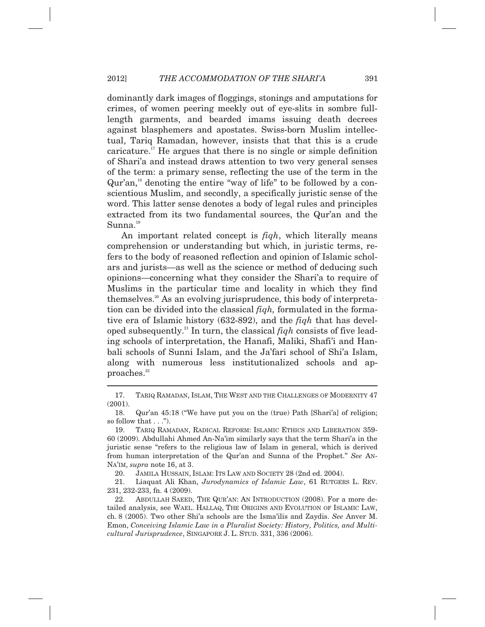#### 2012] *THE ACCOMMODATION OF THE SHARI'A* 391

dominantly dark images of floggings, stonings and amputations for crimes, of women peering meekly out of eye-slits in sombre fulllength garments, and bearded imams issuing death decrees against blasphemers and apostates. Swiss-born Muslim intellectual, Tariq Ramadan, however, insists that that this is a crude caricature.<sup>17</sup> He argues that there is no single or simple definition of Shari'a and instead draws attention to two very general senses of the term: a primary sense, reflecting the use of the term in the Qur'an,18 denoting the entire "way of life" to be followed by a conscientious Muslim, and secondly, a specifically juristic sense of the word. This latter sense denotes a body of legal rules and principles extracted from its two fundamental sources, the Qur'an and the  $Sumna.<sup>19</sup>$ 

An important related concept is *fiqh*, which literally means comprehension or understanding but which, in juristic terms, refers to the body of reasoned reflection and opinion of Islamic scholars and jurists—as well as the science or method of deducing such opinions—concerning what they consider the Shari'a to require of Muslims in the particular time and locality in which they find themselves.20 As an evolving jurisprudence, this body of interpretation can be divided into the classical *fiqh,* formulated in the formative era of Islamic history (632-892), and the *fiqh* that has developed subsequently.21 In turn, the classical *fiqh* consists of five leading schools of interpretation, the Hanafi, Maliki, Shafi'i and Hanbali schools of Sunni Islam, and the Ja'fari school of Shi'a Islam, along with numerous less institutionalized schools and approaches.<sup>22</sup>

 $\overline{\phantom{a}}$ 

 <sup>17.</sup> TARIQ RAMADAN, ISLAM, THE WEST AND THE CHALLENGES OF MODERNITY 47 (2001).

 <sup>18.</sup> Qur'an 45:18 ("We have put you on the (true) Path [Shari'a] of religion; so follow that  $\dots$ ").

 <sup>19.</sup> TARIQ RAMADAN, RADICAL REFORM: ISLAMIC ETHICS AND LIBERATION 359- 60 (2009). Abdullahi Ahmed An-Na'im similarly says that the term Shari'a in the juristic sense "refers to the religious law of Islam in general, which is derived from human interpretation of the Qur'an and Sunna of the Prophet." *See* AN-NA'IM, *supra* note 16, at 3.

 <sup>20.</sup> JAMILA HUSSAIN, ISLAM: ITS LAW AND SOCIETY 28 (2nd ed. 2004).

 <sup>21.</sup> Liaquat Ali Khan, *Jurodynamics of Islamic Law*, 61 RUTGERS L. REV. 231, 232-233, fn. 4 (2009).

 <sup>22.</sup> ABDULLAH SAEED, THE QUR'AN: AN INTRODUCTION (2008). For a more detailed analysis, see WAEL. HALLAQ, THE ORIGINS AND EVOLUTION OF ISLAMIC LAW, ch. 8 (2005). Two other Shi'a schools are the Isma'ilis and Zaydis. *See* Anver M. Emon, *Conceiving Islamic Law in a Pluralist Society: History, Politics, and Multicultural Jurisprudence*, SINGAPORE J. L. STUD. 331, 336 (2006).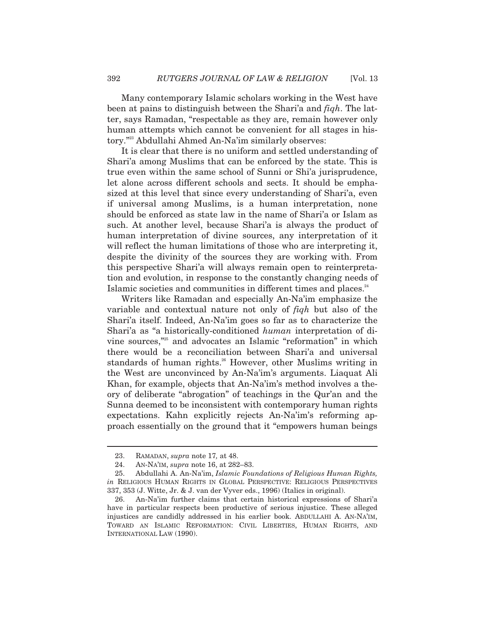Many contemporary Islamic scholars working in the West have been at pains to distinguish between the Shari'a and *fiqh*. The latter, says Ramadan, "respectable as they are, remain however only human attempts which cannot be convenient for all stages in history."23 Abdullahi Ahmed An-Na'im similarly observes:

It is clear that there is no uniform and settled understanding of Shari'a among Muslims that can be enforced by the state. This is true even within the same school of Sunni or Shi'a jurisprudence, let alone across different schools and sects. It should be emphasized at this level that since every understanding of Shari'a, even if universal among Muslims, is a human interpretation, none should be enforced as state law in the name of Shari'a or Islam as such. At another level, because Shari'a is always the product of human interpretation of divine sources, any interpretation of it will reflect the human limitations of those who are interpreting it, despite the divinity of the sources they are working with. From this perspective Shari'a will always remain open to reinterpretation and evolution, in response to the constantly changing needs of Islamic societies and communities in different times and places.<sup>24</sup>

Writers like Ramadan and especially An-Na'im emphasize the variable and contextual nature not only of *fiqh* but also of the Shari'a itself. Indeed, An-Na'im goes so far as to characterize the Shari'a as "a historically-conditioned *human* interpretation of divine sources,"25 and advocates an Islamic "reformation" in which there would be a reconciliation between Shari'a and universal standards of human rights.<sup>26</sup> However, other Muslims writing in the West are unconvinced by An-Na'im's arguments. Liaquat Ali Khan, for example, objects that An-Na'im's method involves a theory of deliberate "abrogation" of teachings in the Qur'an and the Sunna deemed to be inconsistent with contemporary human rights expectations. Kahn explicitly rejects An-Na'im's reforming approach essentially on the ground that it "empowers human beings

 <sup>23.</sup> RAMADAN, *supra* note 17*,* at 48.

 <sup>24.</sup> AN-NA'IM, *supra* note 16, at 282–83.

 <sup>25.</sup> Abdullahi A. An-Na'im, *Islamic Foundations of Religious Human Rights, in* RELIGIOUS HUMAN RIGHTS IN GLOBAL PERSPECTIVE: RELIGIOUS PERSPECTIVES 337, 353 (J. Witte, Jr. & J. van der Vyver eds., 1996) (Italics in original).

 <sup>26.</sup> An-Na'im further claims that certain historical expressions of Shari'a have in particular respects been productive of serious injustice. These alleged injustices are candidly addressed in his earlier book. ABDULLAHI A. AN-NA'IM, TOWARD AN ISLAMIC REFORMATION: CIVIL LIBERTIES, HUMAN RIGHTS, AND INTERNATIONAL LAW (1990).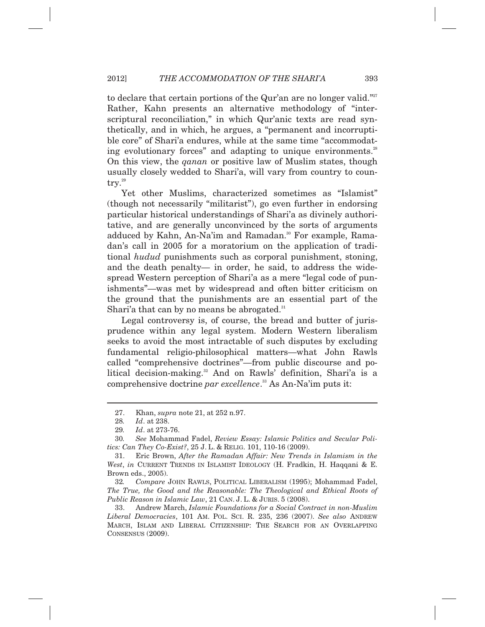to declare that certain portions of the Qur'an are no longer valid."<sup>27</sup> Rather, Kahn presents an alternative methodology of "interscriptural reconciliation," in which Qur'anic texts are read synthetically, and in which, he argues, a "permanent and incorruptible core" of Shari'a endures, while at the same time "accommodating evolutionary forces" and adapting to unique environments.<sup>28</sup> On this view, the *qanan* or positive law of Muslim states, though usually closely wedded to Shari'a, will vary from country to country.<sup>29</sup>

Yet other Muslims, characterized sometimes as "Islamist" (though not necessarily "militarist"), go even further in endorsing particular historical understandings of Shari'a as divinely authoritative, and are generally unconvinced by the sorts of arguments adduced by Kahn, An-Na'im and Ramadan.<sup>30</sup> For example, Ramadan's call in 2005 for a moratorium on the application of traditional *hudud* punishments such as corporal punishment, stoning, and the death penalty— in order, he said, to address the widespread Western perception of Shari'a as a mere "legal code of punishments"—was met by widespread and often bitter criticism on the ground that the punishments are an essential part of the Shari'a that can by no means be abrogated. $31$ 

Legal controversy is, of course, the bread and butter of jurisprudence within any legal system. Modern Western liberalism seeks to avoid the most intractable of such disputes by excluding fundamental religio-philosophical matters—what John Rawls called "comprehensive doctrines"—from public discourse and political decision-making.<sup>32</sup> And on Rawls' definition, Shari'a is a comprehensive doctrine *par excellence*. 33 As An-Na'im puts it:

 <sup>27.</sup> Khan, *supra* note 21, at 252 n.97.

 <sup>28</sup>*. Id*. at 238.

 <sup>29</sup>*. Id*. at 273-76.

 <sup>30</sup>*. See* Mohammad Fadel, *Review Essay: Islamic Politics and Secular Politics: Can They Co-Exist?*, 25 J. L. & RELIG. 101, 110-16 (2009).

 <sup>31.</sup> Eric Brown, *After the Ramadan Affair: New Trends in Islamism in the West*, *in* CURRENT TRENDS IN ISLAMIST IDEOLOGY (H. Fradkin, H. Haqqani & E. Brown eds., 2005).

 <sup>32</sup>*. Compare* JOHN RAWLS, POLITICAL LIBERALISM (1995); Mohammad Fadel, *The True, the Good and the Reasonable: The Theological and Ethical Roots of Public Reason in Islamic Law*, 21 CAN. J. L. & JURIS. 5 (2008).

 <sup>33.</sup> Andrew March, *Islamic Foundations for a Social Contract in non-Muslim Liberal Democracies*, 101 AM. POL. SCI. R. 235, 236 (2007). *See also* ANDREW MARCH, ISLAM AND LIBERAL CITIZENSHIP: THE SEARCH FOR AN OVERLAPPING CONSENSUS (2009).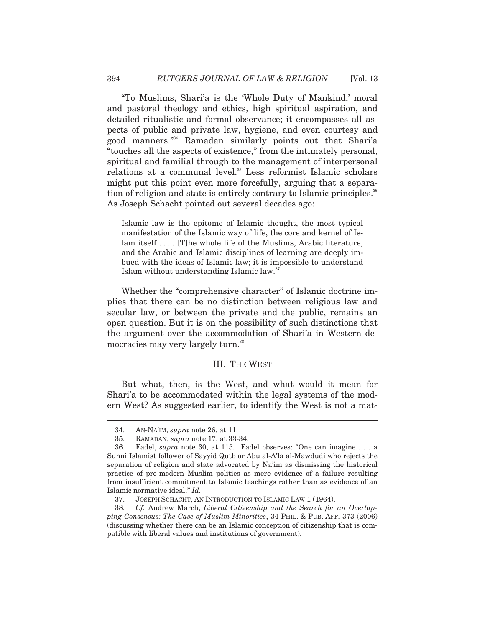"To Muslims, Shari'a is the 'Whole Duty of Mankind,' moral and pastoral theology and ethics, high spiritual aspiration, and detailed ritualistic and formal observance; it encompasses all aspects of public and private law, hygiene, and even courtesy and good manners."34 Ramadan similarly points out that Shari'a "touches all the aspects of existence," from the intimately personal, spiritual and familial through to the management of interpersonal relations at a communal level.<sup>35</sup> Less reformist Islamic scholars might put this point even more forcefully, arguing that a separation of religion and state is entirely contrary to Islamic principles.<sup>36</sup> As Joseph Schacht pointed out several decades ago:

Islamic law is the epitome of Islamic thought, the most typical manifestation of the Islamic way of life, the core and kernel of Islam itself . . . . [T] he whole life of the Muslims, Arabic literature, and the Arabic and Islamic disciplines of learning are deeply imbued with the ideas of Islamic law; it is impossible to understand Islam without understanding Islamic law.<sup>37</sup>

Whether the "comprehensive character" of Islamic doctrine implies that there can be no distinction between religious law and secular law, or between the private and the public, remains an open question. But it is on the possibility of such distinctions that the argument over the accommodation of Shari'a in Western democracies may very largely turn.<sup>38</sup>

#### III. THE WEST

But what, then, is the West, and what would it mean for Shari'a to be accommodated within the legal systems of the modern West? As suggested earlier, to identify the West is not a mat-

 <sup>34.</sup> AN-NA'IM, *supra* note 26, at 11.

 <sup>35.</sup> RAMADAN, *supra* note 17, at 33-34.

 <sup>36.</sup> Fadel, *supra* note 30, at 115. Fadel observes: "One can imagine . . . a Sunni Islamist follower of Sayyid Qutb or Abu al-A'la al-Mawdudi who rejects the separation of religion and state advocated by Na'im as dismissing the historical practice of pre-modern Muslim polities as mere evidence of a failure resulting from insufficient commitment to Islamic teachings rather than as evidence of an Islamic normative ideal." *Id.*

 <sup>37.</sup> JOSEPH SCHACHT, AN INTRODUCTION TO ISLAMIC LAW 1 (1964).

 <sup>38</sup>*. Cf.* Andrew March, *Liberal Citizenship and the Search for an Overlapping Consensus: The Case of Muslim Minorities*, 34 PHIL. & PUB. AFF. 373 (2006) (discussing whether there can be an Islamic conception of citizenship that is compatible with liberal values and institutions of government).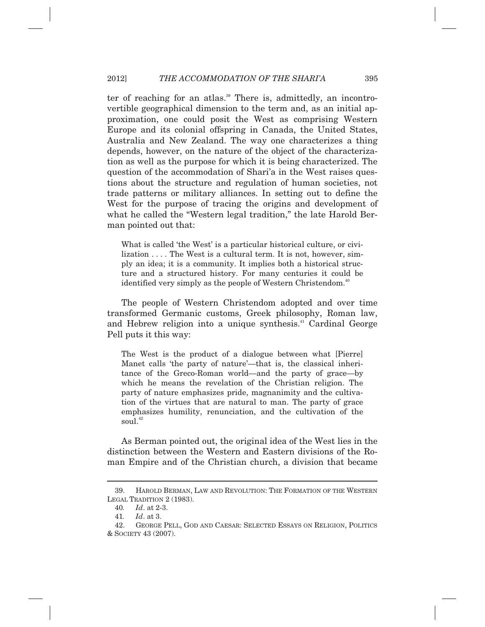### 2012] *THE ACCOMMODATION OF THE SHARI'A* 395

ter of reaching for an atlas.<sup>39</sup> There is, admittedly, an incontrovertible geographical dimension to the term and, as an initial approximation, one could posit the West as comprising Western Europe and its colonial offspring in Canada, the United States, Australia and New Zealand. The way one characterizes a thing depends, however, on the nature of the object of the characterization as well as the purpose for which it is being characterized. The question of the accommodation of Shari'a in the West raises questions about the structure and regulation of human societies, not trade patterns or military alliances. In setting out to define the West for the purpose of tracing the origins and development of what he called the "Western legal tradition," the late Harold Berman pointed out that:

What is called 'the West' is a particular historical culture, or civilization . . . . The West is a cultural term. It is not, however, simply an idea; it is a community. It implies both a historical structure and a structured history. For many centuries it could be identified very simply as the people of Western Christendom.<sup>40</sup>

The people of Western Christendom adopted and over time transformed Germanic customs, Greek philosophy, Roman law, and Hebrew religion into a unique synthesis.<sup>41</sup> Cardinal George Pell puts it this way:

The West is the product of a dialogue between what [Pierre] Manet calls 'the party of nature'—that is, the classical inheritance of the Greco-Roman world—and the party of grace—by which he means the revelation of the Christian religion. The party of nature emphasizes pride, magnanimity and the cultivation of the virtues that are natural to man. The party of grace emphasizes humility, renunciation, and the cultivation of the soul.<sup>42</sup>

As Berman pointed out, the original idea of the West lies in the distinction between the Western and Eastern divisions of the Roman Empire and of the Christian church, a division that became

 <sup>39.</sup> HAROLD BERMAN, LAW AND REVOLUTION: THE FORMATION OF THE WESTERN LEGAL TRADITION 2 (1983).

 <sup>40</sup>*. Id*. at 2-3.

 <sup>41</sup>*. Id*. at 3.

 <sup>42.</sup> GEORGE PELL, GOD AND CAESAR: SELECTED ESSAYS ON RELIGION, POLITICS & SOCIETY 43 (2007).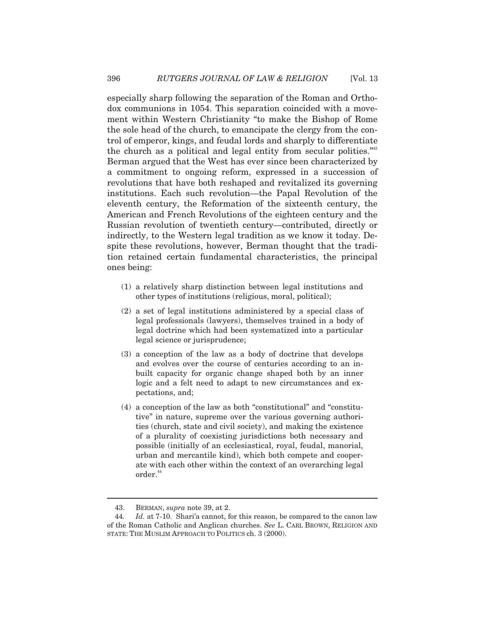especially sharp following the separation of the Roman and Orthodox communions in 1054. This separation coincided with a movement within Western Christianity "to make the Bishop of Rome the sole head of the church, to emancipate the clergy from the control of emperor, kings, and feudal lords and sharply to differentiate the church as a political and legal entity from secular polities.<sup>"43</sup> Berman argued that the West has ever since been characterized by a commitment to ongoing reform, expressed in a succession of revolutions that have both reshaped and revitalized its governing institutions. Each such revolution—the Papal Revolution of the eleventh century, the Reformation of the sixteenth century, the American and French Revolutions of the eighteen century and the Russian revolution of twentieth century—contributed, directly or indirectly, to the Western legal tradition as we know it today. Despite these revolutions, however, Berman thought that the tradition retained certain fundamental characteristics, the principal ones being:

- (1) a relatively sharp distinction between legal institutions and other types of institutions (religious, moral, political);
- (2) a set of legal institutions administered by a special class of legal professionals (lawyers), themselves trained in a body of legal doctrine which had been systematized into a particular legal science or jurisprudence;
- (3) a conception of the law as a body of doctrine that develops and evolves over the course of centuries according to an inbuilt capacity for organic change shaped both by an inner logic and a felt need to adapt to new circumstances and expectations, and;
- (4) a conception of the law as both "constitutional" and "constitutive" in nature, supreme over the various governing authorities (church, state and civil society), and making the existence of a plurality of coexisting jurisdictions both necessary and possible (initially of an ecclesiastical, royal, feudal, manorial, urban and mercantile kind), which both compete and cooperate with each other within the context of an overarching legal  $order.<sup>44</sup>$

 <sup>43.</sup> BERMAN, *supra* note 39, at 2.

 <sup>44</sup>*. Id.* at 7-10. Shari'a cannot, for this reason, be compared to the canon law of the Roman Catholic and Anglican churches. *See* L. CARL BROWN, RELIGION AND STATE: THE MUSLIM APPROACH TO POLITICS ch. 3 (2000).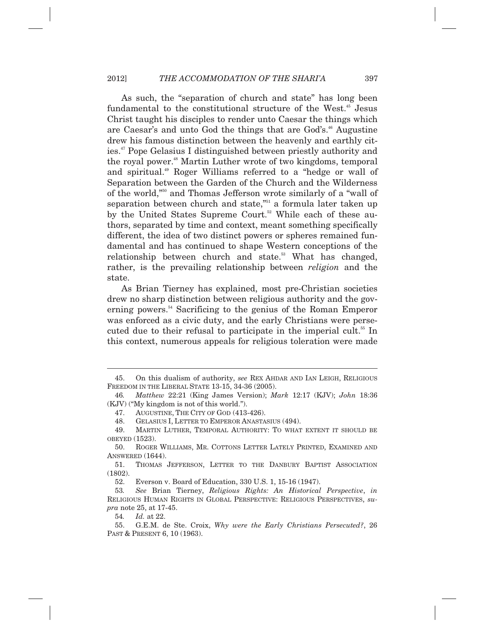As such, the "separation of church and state" has long been fundamental to the constitutional structure of the West.<sup>45</sup> Jesus Christ taught his disciples to render unto Caesar the things which are Caesar's and unto God the things that are God's.<sup>46</sup> Augustine drew his famous distinction between the heavenly and earthly cities.47 Pope Gelasius I distinguished between priestly authority and the royal power.<sup>48</sup> Martin Luther wrote of two kingdoms, temporal and spiritual.49 Roger Williams referred to a "hedge or wall of Separation between the Garden of the Church and the Wilderness of the world,"50 and Thomas Jefferson wrote similarly of a "wall of separation between church and state,"<sup>51</sup> a formula later taken up by the United States Supreme Court.<sup>52</sup> While each of these authors, separated by time and context, meant something specifically different, the idea of two distinct powers or spheres remained fundamental and has continued to shape Western conceptions of the relationship between church and state.<sup>53</sup> What has changed, rather, is the prevailing relationship between *religion* and the state.

As Brian Tierney has explained, most pre-Christian societies drew no sharp distinction between religious authority and the governing powers.<sup>54</sup> Sacrificing to the genius of the Roman Emperor was enforced as a civic duty, and the early Christians were persecuted due to their refusal to participate in the imperial cult.<sup>55</sup> In this context, numerous appeals for religious toleration were made

 <sup>45.</sup> On this dualism of authority, *see* REX AHDAR AND IAN LEIGH, RELIGIOUS FREEDOM IN THE LIBERAL STATE 13-15, 34-36 (2005).

 <sup>46</sup>*. Matthew* 22:21 (King James Version); *Mark* 12:17 (KJV); *John* 18:36 (KJV) ("My kingdom is not of this world.").

 <sup>47.</sup> AUGUSTINE, THE CITY OF GOD (413-426).

 <sup>48.</sup> GELASIUS I, LETTER TO EMPEROR ANASTASIUS (494).

 <sup>49.</sup> MARTIN LUTHER, TEMPORAL AUTHORITY: TO WHAT EXTENT IT SHOULD BE OBEYED (1523).

 <sup>50.</sup> ROGER WILLIAMS, MR. COTTONS LETTER LATELY PRINTED, EXAMINED AND ANSWERED (1644).

 <sup>51.</sup> THOMAS JEFFERSON, LETTER TO THE DANBURY BAPTIST ASSOCIATION (1802).

 <sup>52.</sup> Everson v. Board of Education, 330 U.S. 1, 15-16 (1947).

 <sup>53</sup>*. See* Brian Tierney, *Religious Rights: An Historical Perspective*, *in* RELIGIOUS HUMAN RIGHTS IN GLOBAL PERSPECTIVE: RELIGIOUS PERSPECTIVES, *supra* note 25, at 17-45.

 <sup>54</sup>*. Id.* at 22.

 <sup>55.</sup> G.E.M. de Ste. Croix, *Why were the Early Christians Persecuted?*, 26 PAST & PRESENT 6, 10 (1963).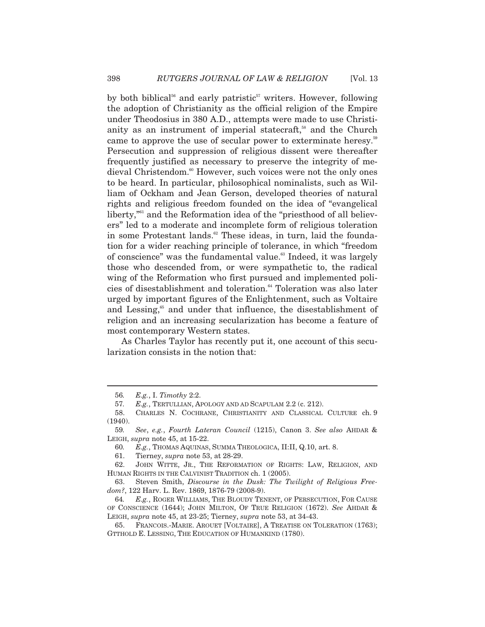by both biblical<sup>56</sup> and early patristic<sup>57</sup> writers. However, following the adoption of Christianity as the official religion of the Empire under Theodosius in 380 A.D., attempts were made to use Christianity as an instrument of imperial statecraft,<sup>58</sup> and the Church came to approve the use of secular power to exterminate heresy.<sup>59</sup> Persecution and suppression of religious dissent were thereafter frequently justified as necessary to preserve the integrity of medieval Christendom.<sup>60</sup> However, such voices were not the only ones to be heard. In particular, philosophical nominalists, such as William of Ockham and Jean Gerson, developed theories of natural rights and religious freedom founded on the idea of "evangelical liberty,<sup>"61</sup> and the Reformation idea of the "priesthood of all believers" led to a moderate and incomplete form of religious toleration in some Protestant lands.<sup>62</sup> These ideas, in turn, laid the foundation for a wider reaching principle of tolerance, in which "freedom of conscience" was the fundamental value.<sup>63</sup> Indeed, it was largely those who descended from, or were sympathetic to, the radical wing of the Reformation who first pursued and implemented policies of disestablishment and toleration.<sup>64</sup> Toleration was also later urged by important figures of the Enlightenment, such as Voltaire and Lessing,<sup>65</sup> and under that influence, the disestablishment of religion and an increasing secularization has become a feature of most contemporary Western states.

As Charles Taylor has recently put it, one account of this secularization consists in the notion that:

 <sup>56</sup>*. E.g.*, I. *Timothy* 2:2.

 <sup>57</sup>*. E.g.*, TERTULLIAN, APOLOGY AND AD SCAPULAM 2.2 (c. 212).

 <sup>58.</sup> CHARLES N. COCHRANE, CHRISTIANITY AND CLASSICAL CULTURE ch. 9 (1940).

 <sup>59</sup>*. See*, *e.g.*, *Fourth Lateran Council* (1215), Canon 3. *See also* AHDAR & LEIGH, *supra* note 45, at 15-22.

 <sup>60</sup>*. E.g.*, THOMAS AQUINAS, SUMMA THEOLOGICA, II:II, Q.10, art. 8.

 <sup>61.</sup> Tierney, *supra* note 53, at 28-29.

 <sup>62.</sup> JOHN WITTE, JR., THE REFORMATION OF RIGHTS: LAW, RELIGION, AND HUMAN RIGHTS IN THE CALVINIST TRADITION ch. 1 (2005).

 <sup>63.</sup> Steven Smith, *Discourse in the Dusk: The Twilight of Religious Freedom?*, 122 Harv. L. Rev. 1869, 1876-79 (2008-9).

 <sup>64</sup>*. E.g.*, ROGER WILLIAMS, THE BLOUDY TENENT, OF PERSECUTION, FOR CAUSE OF CONSCIENCE (1644); JOHN MILTON, OF TRUE RELIGION (1672). *See* AHDAR & LEIGH, *supra* note 45, at 23-25; Tierney, *supra* note 53, at 34-43.

 <sup>65.</sup> FRANCOIS.-MARIE. AROUET [VOLTAIRE], A TREATISE ON TOLERATION (1763); GTTHOLD E. LESSING, THE EDUCATION OF HUMANKIND (1780).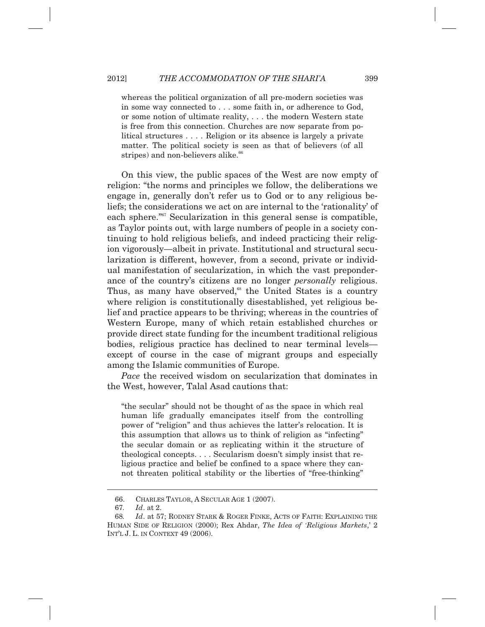whereas the political organization of all pre-modern societies was in some way connected to . . . some faith in, or adherence to God, or some notion of ultimate reality, . . . the modern Western state is free from this connection. Churches are now separate from political structures . . . . Religion or its absence is largely a private matter. The political society is seen as that of believers (of all stripes) and non-believers alike. $66$ 

On this view, the public spaces of the West are now empty of religion: "the norms and principles we follow, the deliberations we engage in, generally don't refer us to God or to any religious beliefs; the considerations we act on are internal to the 'rationality' of each sphere."<sup>67</sup> Secularization in this general sense is compatible, as Taylor points out, with large numbers of people in a society continuing to hold religious beliefs, and indeed practicing their religion vigorously—albeit in private. Institutional and structural secularization is different, however, from a second, private or individual manifestation of secularization, in which the vast preponderance of the country's citizens are no longer *personally* religious. Thus, as many have observed,<sup>68</sup> the United States is a country where religion is constitutionally disestablished, yet religious belief and practice appears to be thriving; whereas in the countries of Western Europe, many of which retain established churches or provide direct state funding for the incumbent traditional religious bodies, religious practice has declined to near terminal levels except of course in the case of migrant groups and especially among the Islamic communities of Europe.

*Pace* the received wisdom on secularization that dominates in the West, however, Talal Asad cautions that:

"the secular" should not be thought of as the space in which real human life gradually emancipates itself from the controlling power of "religion" and thus achieves the latter's relocation. It is this assumption that allows us to think of religion as "infecting" the secular domain or as replicating within it the structure of theological concepts. . . . Secularism doesn't simply insist that religious practice and belief be confined to a space where they cannot threaten political stability or the liberties of "free-thinking"

 <sup>66.</sup> CHARLES TAYLOR, A SECULAR AGE 1 (2007).

 <sup>67</sup>*. Id*. at 2.

 <sup>68</sup>*. Id*. at 57; RODNEY STARK & ROGER FINKE, ACTS OF FAITH: EXPLAINING THE HUMAN SIDE OF RELIGION (2000); Rex Ahdar, *The Idea of 'Religious Markets*,' 2 INT'L J. L. IN CONTEXT 49 (2006).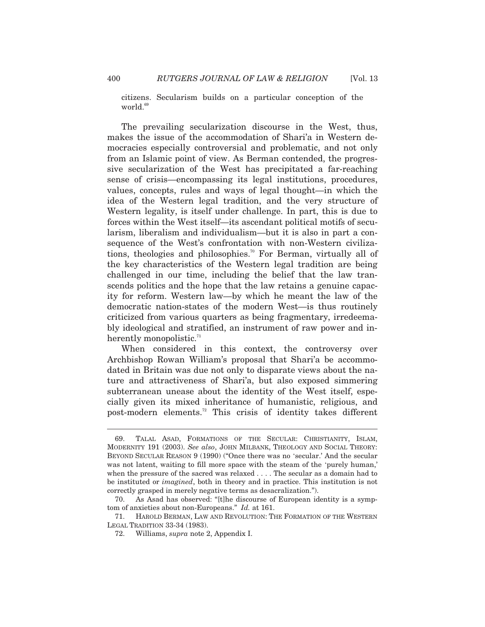citizens. Secularism builds on a particular conception of the world.<sup>69</sup>

The prevailing secularization discourse in the West, thus, makes the issue of the accommodation of Shari'a in Western democracies especially controversial and problematic, and not only from an Islamic point of view. As Berman contended, the progressive secularization of the West has precipitated a far-reaching sense of crisis—encompassing its legal institutions, procedures, values, concepts, rules and ways of legal thought—in which the idea of the Western legal tradition, and the very structure of Western legality, is itself under challenge. In part, this is due to forces within the West itself—its ascendant political motifs of secularism, liberalism and individualism—but it is also in part a consequence of the West's confrontation with non-Western civilizations, theologies and philosophies.<sup>70</sup> For Berman, virtually all of the key characteristics of the Western legal tradition are being challenged in our time, including the belief that the law transcends politics and the hope that the law retains a genuine capacity for reform. Western law—by which he meant the law of the democratic nation-states of the modern West—is thus routinely criticized from various quarters as being fragmentary, irredeemably ideological and stratified, an instrument of raw power and inherently monopolistic. $\mathbb{I}^1$ 

When considered in this context, the controversy over Archbishop Rowan William's proposal that Shari'a be accommodated in Britain was due not only to disparate views about the nature and attractiveness of Shari'a, but also exposed simmering subterranean unease about the identity of the West itself, especially given its mixed inheritance of humanistic, religious, and post-modern elements.72 This crisis of identity takes different

 <sup>69.</sup> TALAL ASAD, FORMATIONS OF THE SECULAR: CHRISTIANITY, ISLAM, MODERNITY 191 (2003). *See also*, JOHN MILBANK, THEOLOGY AND SOCIAL THEORY: BEYOND SECULAR REASON 9 (1990) ("Once there was no 'secular.' And the secular was not latent, waiting to fill more space with the steam of the 'purely human,' when the pressure of the sacred was relaxed . . . . The secular as a domain had to be instituted or *imagined*, both in theory and in practice. This institution is not correctly grasped in merely negative terms as desacralization.").

 <sup>70.</sup> As Asad has observed: "[t]he discourse of European identity is a symptom of anxieties about non-Europeans." *Id.* at 161.

 <sup>71.</sup> HAROLD BERMAN, LAW AND REVOLUTION: THE FORMATION OF THE WESTERN LEGAL TRADITION 33-34 (1983).

 <sup>72.</sup> Williams, *supra* note 2, Appendix I.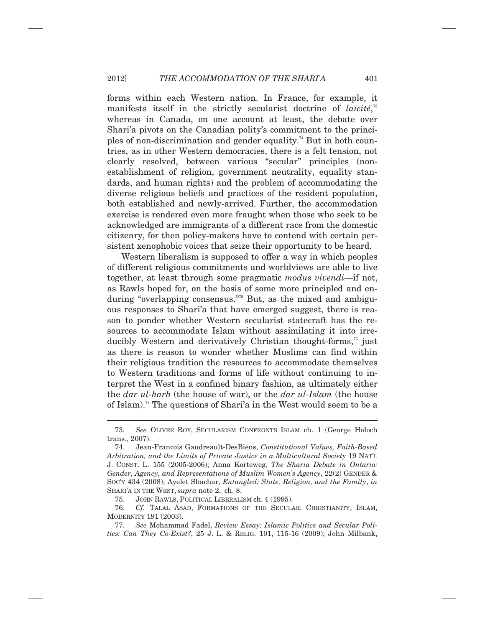forms within each Western nation. In France, for example, it manifests itself in the strictly secularist doctrine of *laïcité*,<sup>73</sup> whereas in Canada, on one account at least, the debate over Shari'a pivots on the Canadian polity's commitment to the principles of non-discrimination and gender equality.<sup>74</sup> But in both countries, as in other Western democracies, there is a felt tension, not clearly resolved, between various "secular" principles (nonestablishment of religion, government neutrality, equality standards, and human rights) and the problem of accommodating the diverse religious beliefs and practices of the resident population, both established and newly-arrived. Further, the accommodation exercise is rendered even more fraught when those who seek to be acknowledged are immigrants of a different race from the domestic citizenry, for then policy-makers have to contend with certain persistent xenophobic voices that seize their opportunity to be heard.

Western liberalism is supposed to offer a way in which peoples of different religious commitments and worldviews are able to live together, at least through some pragmatic *modus vivendi*—if not, as Rawls hoped for, on the basis of some more principled and enduring "overlapping consensus."75 But, as the mixed and ambiguous responses to Shari'a that have emerged suggest, there is reason to ponder whether Western secularist statecraft has the resources to accommodate Islam without assimilating it into irreducibly Western and derivatively Christian thought-forms,<sup>76</sup> just as there is reason to wonder whether Muslims can find within their religious tradition the resources to accommodate themselves to Western traditions and forms of life without continuing to interpret the West in a confined binary fashion, as ultimately either the *dar ul-harb* (the house of war), or the *dar ul-Islam* (the house of Islam).77 The questions of Shari'a in the West would seem to be a

 <sup>73</sup>*. See* OLIVER ROY, SECULARISM CONFRONTS ISLAM ch. 1 (George Holoch trans., 2007).

 <sup>74.</sup> Jean-Francois Gaudreault-DesBiens, *Constitutional Values, Faith-Based Arbitration, and the Limits of Private Justice in a Multicultural Society* 19 NAT'L J. CONST. L. 155 (2005-2006); Anna Korteweg, *The Sharia Debate in Ontario: Gender, Agency, and Representations of Muslim Women's Agency*, 22(2) GENDER & SOC'Y 434 (2008); Ayelet Shachar, *Entangled: State, Religion, and the Family*, *in* SHARI'A IN THE WEST, *supra* note 2, ch. 8.

 <sup>75.</sup> JOHN RAWLS, POLITICAL LIBERALISM ch. 4 (1995).

 <sup>76</sup>*. Cf.* TALAL ASAD, FORMATIONS OF THE SECULAR: CHRISTIANITY, ISLAM, MODERNITY 191 (2003).

 <sup>77</sup>*. See* Mohammad Fadel, *Review Essay: Islamic Politics and Secular Politics: Can They Co-Exist?*, 25 J. L. & RELIG. 101, 115-16 (2009); John Milbank,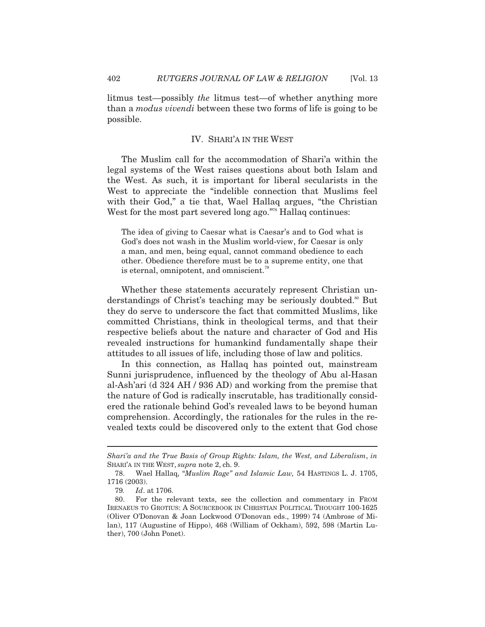litmus test—possibly *the* litmus test—of whether anything more than a *modus vivendi* between these two forms of life is going to be possible.

# IV. SHARI'A IN THE WEST

The Muslim call for the accommodation of Shari'a within the legal systems of the West raises questions about both Islam and the West. As such, it is important for liberal secularists in the West to appreciate the "indelible connection that Muslims feel with their God," a tie that, Wael Hallaq argues, "the Christian West for the most part severed long ago."<sup>78</sup> Hallaq continues:

The idea of giving to Caesar what is Caesar's and to God what is God's does not wash in the Muslim world-view, for Caesar is only a man, and men, being equal, cannot command obedience to each other. Obedience therefore must be to a supreme entity, one that is eternal, omnipotent, and omniscient.<sup>79</sup>

Whether these statements accurately represent Christian understandings of Christ's teaching may be seriously doubted.<sup>80</sup> But they do serve to underscore the fact that committed Muslims, like committed Christians, think in theological terms, and that their respective beliefs about the nature and character of God and His revealed instructions for humankind fundamentally shape their attitudes to all issues of life, including those of law and politics.

In this connection, as Hallaq has pointed out, mainstream Sunni jurisprudence, influenced by the theology of Abu al-Hasan al-Ash'ari (d 324 AH / 936 AD) and working from the premise that the nature of God is radically inscrutable, has traditionally considered the rationale behind God's revealed laws to be beyond human comprehension. Accordingly, the rationales for the rules in the revealed texts could be discovered only to the extent that God chose

*Shari'a and the True Basis of Group Rights: Islam, the West, and Liberalism*, *in* SHARI'A IN THE WEST, *supra* note 2, ch. 9.

 <sup>78.</sup> Wael Hallaq, "*Muslim Rage" and Islamic Law,* 54 HASTINGS L. J. 1705, 1716 (2003).

 <sup>79</sup>*. Id*. at 1706.

 <sup>80.</sup> For the relevant texts, see the collection and commentary in FROM IRENAEUS TO GROTIUS: A SOURCEBOOK IN CHRISTIAN POLITICAL THOUGHT 100-1625 (Oliver O'Donovan & Joan Lockwood O'Donovan eds., 1999) 74 (Ambrose of Milan), 117 (Augustine of Hippo), 468 (William of Ockham), 592, 598 (Martin Luther), 700 (John Ponet).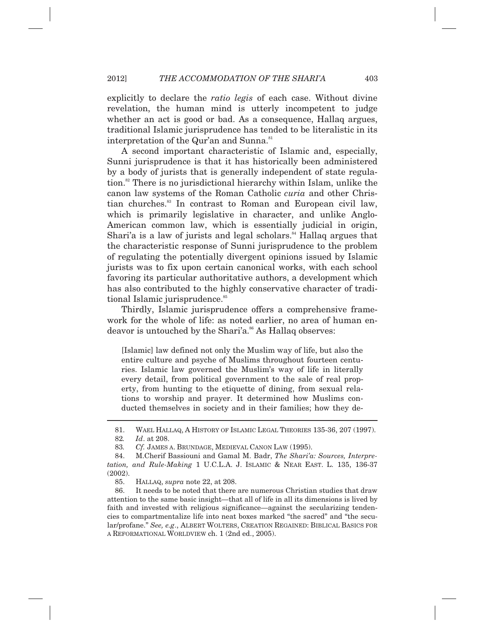explicitly to declare the *ratio legis* of each case. Without divine revelation, the human mind is utterly incompetent to judge whether an act is good or bad. As a consequence, Hallaq argues, traditional Islamic jurisprudence has tended to be literalistic in its interpretation of the Qur'an and Sunna.<sup>81</sup>

A second important characteristic of Islamic and, especially, Sunni jurisprudence is that it has historically been administered by a body of jurists that is generally independent of state regulation.<sup>82</sup> There is no jurisdictional hierarchy within Islam, unlike the canon law systems of the Roman Catholic *curia* and other Christian churches.83 In contrast to Roman and European civil law, which is primarily legislative in character, and unlike Anglo-American common law, which is essentially judicial in origin, Shari'a is a law of jurists and legal scholars. $84$  Hallaq argues that the characteristic response of Sunni jurisprudence to the problem of regulating the potentially divergent opinions issued by Islamic jurists was to fix upon certain canonical works, with each school favoring its particular authoritative authors, a development which has also contributed to the highly conservative character of traditional Islamic jurisprudence.<sup>85</sup>

Thirdly, Islamic jurisprudence offers a comprehensive framework for the whole of life: as noted earlier, no area of human endeavor is untouched by the Shari'a.<sup>86</sup> As Hallaq observes:

[Islamic] law defined not only the Muslim way of life, but also the entire culture and psyche of Muslims throughout fourteen centuries. Islamic law governed the Muslim's way of life in literally every detail, from political government to the sale of real property, from hunting to the etiquette of dining, from sexual relations to worship and prayer. It determined how Muslims conducted themselves in society and in their families; how they de-

 <sup>81.</sup> WAEL HALLAQ, A HISTORY OF ISLAMIC LEGAL THEORIES 135-36, 207 (1997).

 <sup>82</sup>*. Id*. at 208.

 <sup>83</sup>*. Cf.* JAMES A. BRUNDAGE, MEDIEVAL CANON LAW (1995).

 <sup>84.</sup> M.Cherif Bassiouni and Gamal M. Badr, *The Shari'a: Sources, Interpretation, and Rule-Making* 1 U.C.L.A. J. ISLAMIC & NEAR EAST. L. 135, 136-37 (2002).

 <sup>85.</sup> HALLAQ, *supra* note 22, at 208.

 <sup>86.</sup> It needs to be noted that there are numerous Christian studies that draw attention to the same basic insight—that all of life in all its dimensions is lived by faith and invested with religious significance—against the secularizing tendencies to compartmentalize life into neat boxes marked "the sacred" and "the secular/profane." *See, e.g*., ALBERT WOLTERS, CREATION REGAINED: BIBLICAL BASICS FOR A REFORMATIONAL WORLDVIEW ch. 1 (2nd ed., 2005).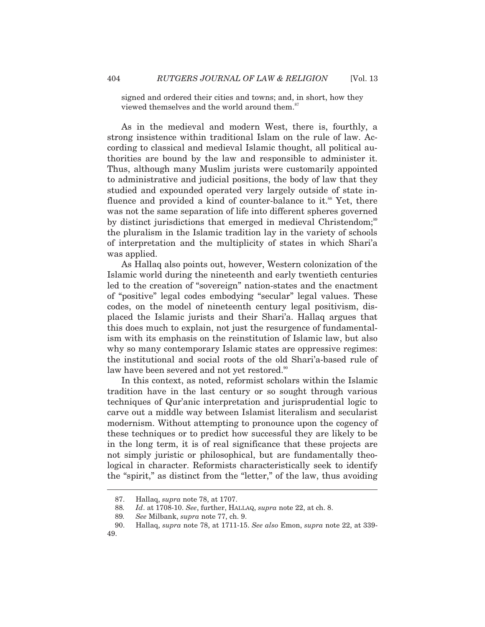signed and ordered their cities and towns; and, in short, how they viewed themselves and the world around them.<sup>87</sup>

As in the medieval and modern West, there is, fourthly, a strong insistence within traditional Islam on the rule of law. According to classical and medieval Islamic thought, all political authorities are bound by the law and responsible to administer it. Thus, although many Muslim jurists were customarily appointed to administrative and judicial positions, the body of law that they studied and expounded operated very largely outside of state influence and provided a kind of counter-balance to it.<sup>88</sup> Yet, there was not the same separation of life into different spheres governed by distinct jurisdictions that emerged in medieval Christendom;<sup>89</sup> the pluralism in the Islamic tradition lay in the variety of schools of interpretation and the multiplicity of states in which Shari'a was applied.

As Hallaq also points out, however, Western colonization of the Islamic world during the nineteenth and early twentieth centuries led to the creation of "sovereign" nation-states and the enactment of "positive" legal codes embodying "secular" legal values. These codes, on the model of nineteenth century legal positivism, displaced the Islamic jurists and their Shari'a. Hallaq argues that this does much to explain, not just the resurgence of fundamentalism with its emphasis on the reinstitution of Islamic law, but also why so many contemporary Islamic states are oppressive regimes: the institutional and social roots of the old Shari'a-based rule of law have been severed and not yet restored.<sup>90</sup>

In this context, as noted, reformist scholars within the Islamic tradition have in the last century or so sought through various techniques of Qur'anic interpretation and jurisprudential logic to carve out a middle way between Islamist literalism and secularist modernism. Without attempting to pronounce upon the cogency of these techniques or to predict how successful they are likely to be in the long term, it is of real significance that these projects are not simply juristic or philosophical, but are fundamentally theological in character. Reformists characteristically seek to identify the "spirit," as distinct from the "letter," of the law, thus avoiding

 <sup>87.</sup> Hallaq, *supra* note 78, at 1707.

 <sup>88</sup>*. Id*. at 1708-10. *See*, further, HALLAQ, *supra* note 22, at ch. 8.

 <sup>89</sup>*. See* Milbank, *supra* note 77, ch. 9.

 <sup>90.</sup> Hallaq, *supra* note 78, at 1711-15. *See also* Emon, *supra* note 22, at 339- 49.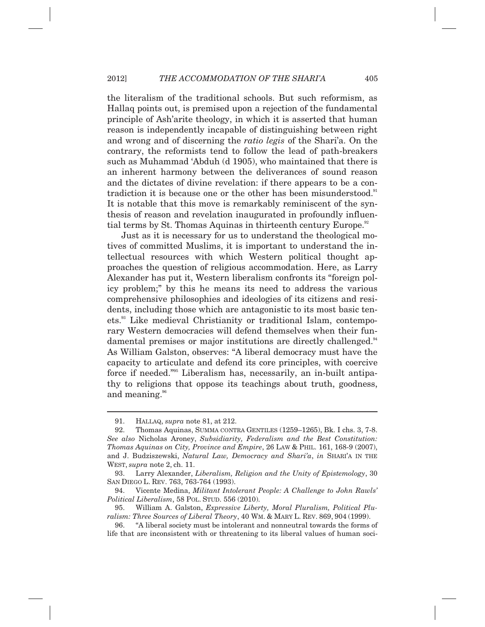the literalism of the traditional schools. But such reformism, as Hallaq points out, is premised upon a rejection of the fundamental principle of Ash'arite theology, in which it is asserted that human reason is independently incapable of distinguishing between right and wrong and of discerning the *ratio legis* of the Shari'a. On the contrary, the reformists tend to follow the lead of path-breakers such as Muhammad 'Abduh (d 1905), who maintained that there is an inherent harmony between the deliverances of sound reason and the dictates of divine revelation: if there appears to be a contradiction it is because one or the other has been misunderstood.<sup>91</sup> It is notable that this move is remarkably reminiscent of the synthesis of reason and revelation inaugurated in profoundly influential terms by St. Thomas Aquinas in thirteenth century Europe.<sup>92</sup>

Just as it is necessary for us to understand the theological motives of committed Muslims, it is important to understand the intellectual resources with which Western political thought approaches the question of religious accommodation. Here, as Larry Alexander has put it, Western liberalism confronts its "foreign policy problem;" by this he means its need to address the various comprehensive philosophies and ideologies of its citizens and residents, including those which are antagonistic to its most basic tenets.93 Like medieval Christianity or traditional Islam, contemporary Western democracies will defend themselves when their fundamental premises or major institutions are directly challenged.<sup>94</sup> As William Galston, observes: "A liberal democracy must have the capacity to articulate and defend its core principles, with coercive force if needed."95 Liberalism has, necessarily, an in-built antipathy to religions that oppose its teachings about truth, goodness, and meaning.<sup>96</sup>

 <sup>91.</sup> HALLAQ, *supra* note 81, at 212.

 <sup>92.</sup> Thomas Aquinas, SUMMA CONTRA GENTILES (1259–1265), Bk. I chs. 3, 7-8. *See also* Nicholas Aroney, *Subsidiarity, Federalism and the Best Constitution: Thomas Aquinas on City, Province and Empire*, 26 LAW & PHIL. 161, 168-9 (2007), and J. Budziszewski, *Natural Law, Democracy and Shari'a*, *in* SHARI'A IN THE WEST, *supra* note 2, ch. 11.

 <sup>93.</sup> Larry Alexander, *Liberalism, Religion and the Unity of Epistemology*, 30 SAN DIEGO L. REV. 763, 763-764 (1993).

 <sup>94.</sup> Vicente Medina, *Militant Intolerant People: A Challenge to John Rawls' Political Liberalism*, 58 POL. STUD. 556 (2010).

 <sup>95.</sup> William A. Galston, *Expressive Liberty, Moral Pluralism, Political Pluralism: Three Sources of Liberal Theory*, 40 WM. & MARY L. REV. 869, 904 (1999).

 <sup>96. &</sup>quot;A liberal society must be intolerant and nonneutral towards the forms of life that are inconsistent with or threatening to its liberal values of human soci-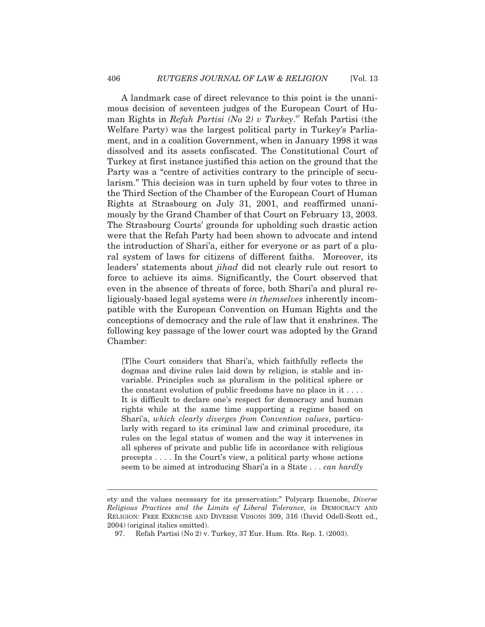A landmark case of direct relevance to this point is the unanimous decision of seventeen judges of the European Court of Human Rights in *Refah Partisi (No 2) v Turkey*. 97 Refah Partisi (the Welfare Party) was the largest political party in Turkey's Parliament, and in a coalition Government, when in January 1998 it was dissolved and its assets confiscated. The Constitutional Court of Turkey at first instance justified this action on the ground that the Party was a "centre of activities contrary to the principle of secularism." This decision was in turn upheld by four votes to three in the Third Section of the Chamber of the European Court of Human Rights at Strasbourg on July 31, 2001, and reaffirmed unanimously by the Grand Chamber of that Court on February 13, 2003. The Strasbourg Courts' grounds for upholding such drastic action were that the Refah Party had been shown to advocate and intend the introduction of Shari'a, either for everyone or as part of a plural system of laws for citizens of different faiths. Moreover, its leaders' statements about *jihad* did not clearly rule out resort to force to achieve its aims. Significantly, the Court observed that even in the absence of threats of force, both Shari'a and plural religiously-based legal systems were *in themselves* inherently incompatible with the European Convention on Human Rights and the conceptions of democracy and the rule of law that it enshrines. The following key passage of the lower court was adopted by the Grand Chamber:

[T]he Court considers that Shari'a, which faithfully reflects the dogmas and divine rules laid down by religion, is stable and invariable. Principles such as pluralism in the political sphere or the constant evolution of public freedoms have no place in it . . . . It is difficult to declare one's respect for democracy and human rights while at the same time supporting a regime based on Shari'a, *which clearly diverges from Convention values*, particularly with regard to its criminal law and criminal procedure, its rules on the legal status of women and the way it intervenes in all spheres of private and public life in accordance with religious precepts . . . . In the Court's view, a political party whose actions seem to be aimed at introducing Shari'a in a State . . . *can hardly* 

ety and the values necessary for its preservation:" Polycarp Ikuenobe, *Diverse Religious Practices and the Limits of Liberal Tolerance, in* DEMOCRACY AND RELIGION: FREE EXERCISE AND DIVERSE VISIONS 309, 316 (David Odell-Scott ed., 2004) (original italics omitted).

 <sup>97.</sup> Refah Partisi (No 2) v. Turkey, 37 Eur. Hum. Rts. Rep. 1. (2003).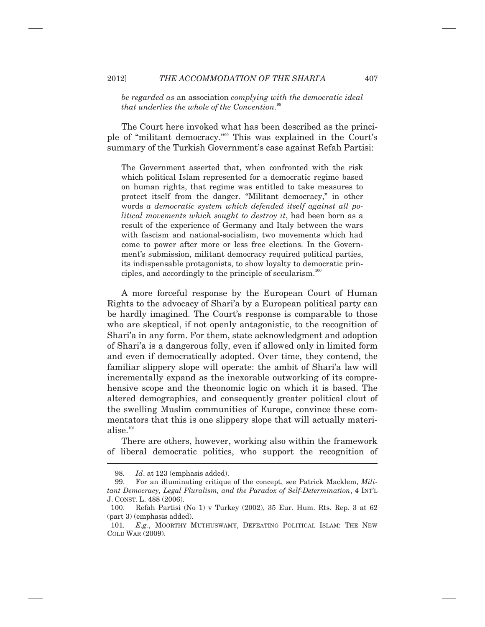*be regarded as* an association *complying with the democratic ideal that underlies the whole of the Convention*. 98

The Court here invoked what has been described as the principle of "militant democracy."99 This was explained in the Court's summary of the Turkish Government's case against Refah Partisi:

The Government asserted that, when confronted with the risk which political Islam represented for a democratic regime based on human rights, that regime was entitled to take measures to protect itself from the danger. "Militant democracy," in other words *a democratic system which defended itself against all political movements which sought to destroy it*, had been born as a result of the experience of Germany and Italy between the wars with fascism and national-socialism, two movements which had come to power after more or less free elections. In the Government's submission, militant democracy required political parties, its indispensable protagonists, to show loyalty to democratic principles, and accordingly to the principle of secularism. $100$ 

A more forceful response by the European Court of Human Rights to the advocacy of Shari'a by a European political party can be hardly imagined. The Court's response is comparable to those who are skeptical, if not openly antagonistic, to the recognition of Shari'a in any form. For them, state acknowledgment and adoption of Shari'a is a dangerous folly, even if allowed only in limited form and even if democratically adopted. Over time, they contend, the familiar slippery slope will operate: the ambit of Shari'a law will incrementally expand as the inexorable outworking of its comprehensive scope and the theonomic logic on which it is based. The altered demographics, and consequently greater political clout of the swelling Muslim communities of Europe, convince these commentators that this is one slippery slope that will actually materialise.<sup>101</sup>

There are others, however, working also within the framework of liberal democratic politics, who support the recognition of  $\overline{a}$ 

 <sup>98</sup>*. Id*. at 123 (emphasis added).

 <sup>99.</sup> For an illuminating critique of the concept, see Patrick Macklem, *Militant Democracy, Legal Pluralism, and the Paradox of Self-Determination*, 4 INT'L J. CONST. L. 488 (2006).

 <sup>100.</sup> Refah Partisi (No 1) v Turkey (2002), 35 Eur. Hum. Rts. Rep. 3 at 62 (part 3) (emphasis added).

 <sup>101</sup>*. E.g.*, MOORTHY MUTHUSWAMY, DEFEATING POLITICAL ISLAM: THE NEW COLD WAR (2009).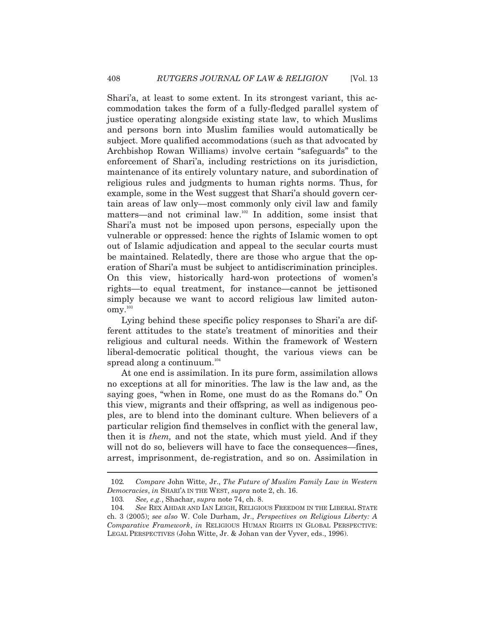Shari'a, at least to some extent. In its strongest variant, this accommodation takes the form of a fully-fledged parallel system of justice operating alongside existing state law, to which Muslims and persons born into Muslim families would automatically be subject. More qualified accommodations (such as that advocated by Archbishop Rowan Williams) involve certain "safeguards" to the enforcement of Shari'a, including restrictions on its jurisdiction, maintenance of its entirely voluntary nature, and subordination of religious rules and judgments to human rights norms. Thus, for example, some in the West suggest that Shari'a should govern certain areas of law only—most commonly only civil law and family matters—and not criminal law.102 In addition, some insist that Shari'a must not be imposed upon persons, especially upon the vulnerable or oppressed: hence the rights of Islamic women to opt out of Islamic adjudication and appeal to the secular courts must be maintained. Relatedly, there are those who argue that the operation of Shari'a must be subject to antidiscrimination principles. On this view, historically hard-won protections of women's rights—to equal treatment, for instance—cannot be jettisoned simply because we want to accord religious law limited auton- $\mathrm{omy.}^{^{103}}$ 

Lying behind these specific policy responses to Shari'a are different attitudes to the state's treatment of minorities and their religious and cultural needs. Within the framework of Western liberal-democratic political thought, the various views can be spread along a continuum. $104$ 

At one end is assimilation. In its pure form, assimilation allows no exceptions at all for minorities. The law is the law and, as the saying goes, "when in Rome, one must do as the Romans do." On this view, migrants and their offspring, as well as indigenous peoples, are to blend into the dominant culture. When believers of a particular religion find themselves in conflict with the general law, then it is *them,* and not the state, which must yield. And if they will not do so, believers will have to face the consequences—fines, arrest, imprisonment, de-registration, and so on. Assimilation in

 <sup>102</sup>*. Compare* John Witte, Jr., *The Future of Muslim Family Law in Western Democracies*, *in* SHARI'A IN THE WEST, *supra* note 2, ch. 16.

 <sup>103</sup>*. See, e.g.*, Shachar, *supra* note 74, ch. 8.

 <sup>104</sup>*. See* REX AHDAR AND IAN LEIGH, RELIGIOUS FREEDOM IN THE LIBERAL STATE ch. 3 (2005); *see also* W. Cole Durham, Jr., *Perspectives on Religious Liberty: A Comparative Framework*, *in* RELIGIOUS HUMAN RIGHTS IN GLOBAL PERSPECTIVE: LEGAL PERSPECTIVES (John Witte, Jr. & Johan van der Vyver, eds., 1996).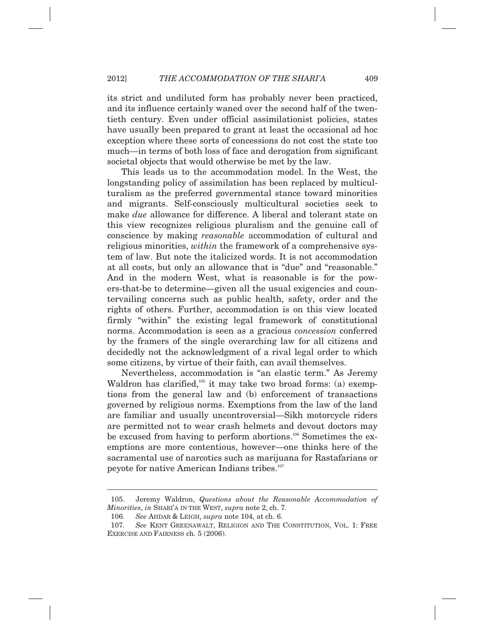its strict and undiluted form has probably never been practiced, and its influence certainly waned over the second half of the twentieth century. Even under official assimilationist policies, states have usually been prepared to grant at least the occasional ad hoc exception where these sorts of concessions do not cost the state too much—in terms of both loss of face and derogation from significant societal objects that would otherwise be met by the law.

This leads us to the accommodation model. In the West, the longstanding policy of assimilation has been replaced by multiculturalism as the preferred governmental stance toward minorities and migrants. Self-consciously multicultural societies seek to make *due* allowance for difference. A liberal and tolerant state on this view recognizes religious pluralism and the genuine call of conscience by making *reasonable* accommodation of cultural and religious minorities, *within* the framework of a comprehensive system of law. But note the italicized words. It is not accommodation at all costs, but only an allowance that is "due" and "reasonable." And in the modern West, what is reasonable is for the powers-that-be to determine—given all the usual exigencies and countervailing concerns such as public health, safety, order and the rights of others. Further, accommodation is on this view located firmly "within" the existing legal framework of constitutional norms. Accommodation is seen as a gracious *concession* conferred by the framers of the single overarching law for all citizens and decidedly not the acknowledgment of a rival legal order to which some citizens, by virtue of their faith, can avail themselves.

Nevertheless, accommodation is "an elastic term." As Jeremy Waldron has clarified, $105$  it may take two broad forms: (a) exemptions from the general law and (b) enforcement of transactions governed by religious norms. Exemptions from the law of the land are familiar and usually uncontroversial—Sikh motorcycle riders are permitted not to wear crash helmets and devout doctors may be excused from having to perform abortions.<sup>106</sup> Sometimes the exemptions are more contentious, however—one thinks here of the sacramental use of narcotics such as marijuana for Rastafarians or peyote for native American Indians tribes.<sup>107</sup>

 <sup>105.</sup> Jeremy Waldron, *Questions about the Reasonable Accommodation of Minorities*, *in* SHARI'A IN THE WEST, *supra* note 2, ch. 7.

 <sup>106</sup>*. See* AHDAR & LEIGH, *supra* note 104, at ch. 6.

 <sup>107</sup>*. See* KENT GREENAWALT, RELIGION AND THE CONSTITUTION, VOL. 1: FREE EXERCISE AND FAIRNESS ch. 5 (2006).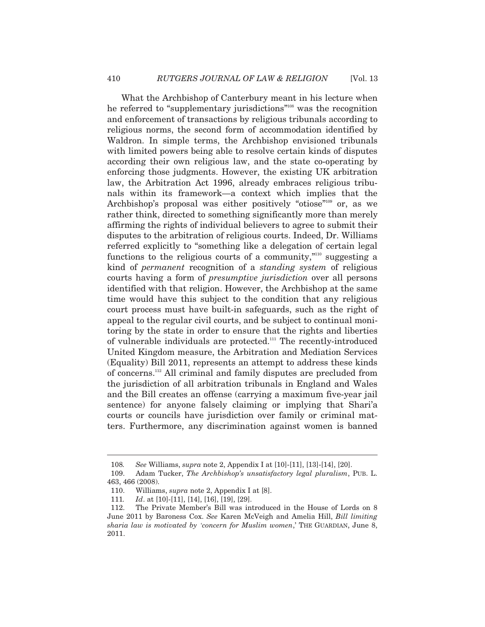What the Archbishop of Canterbury meant in his lecture when he referred to "supplementary jurisdictions"108 was the recognition and enforcement of transactions by religious tribunals according to religious norms, the second form of accommodation identified by Waldron. In simple terms, the Archbishop envisioned tribunals with limited powers being able to resolve certain kinds of disputes according their own religious law, and the state co-operating by enforcing those judgments. However, the existing UK arbitration law, the Arbitration Act 1996, already embraces religious tribunals within its framework—a context which implies that the Archbishop's proposal was either positively "otiose"<sup>109</sup> or, as we rather think, directed to something significantly more than merely affirming the rights of individual believers to agree to submit their disputes to the arbitration of religious courts. Indeed, Dr. Williams referred explicitly to "something like a delegation of certain legal functions to the religious courts of a community, $\frac{m_{10}}{m}$  suggesting a kind of *permanent* recognition of a *standing system* of religious courts having a form of *presumptive jurisdiction* over all persons identified with that religion. However, the Archbishop at the same time would have this subject to the condition that any religious court process must have built-in safeguards, such as the right of appeal to the regular civil courts, and be subject to continual monitoring by the state in order to ensure that the rights and liberties of vulnerable individuals are protected.111 The recently-introduced United Kingdom measure, the Arbitration and Mediation Services (Equality) Bill 2011, represents an attempt to address these kinds of concerns.112 All criminal and family disputes are precluded from the jurisdiction of all arbitration tribunals in England and Wales and the Bill creates an offense (carrying a maximum five-year jail sentence) for anyone falsely claiming or implying that Shari'a courts or councils have jurisdiction over family or criminal matters. Furthermore, any discrimination against women is banned

 <sup>108</sup>*. See* Williams, *supra* note 2, Appendix I at [10]-[11], [13]-[14], [20].

Adam Tucker, *The Archbishop's unsatisfactory legal pluralism*, PUB. L. 463, 466 (2008).

 <sup>110.</sup> Williams, *supra* note 2, Appendix I at [8].

 <sup>111</sup>*. Id*. at [10]-[11], [14], [16], [19], [29].

 <sup>112.</sup> The Private Member's Bill was introduced in the House of Lords on 8 June 2011 by Baroness Cox. *See* Karen McVeigh and Amelia Hill, *Bill limiting sharia law is motivated by 'concern for Muslim women*,' THE GUARDIAN, June 8, 2011.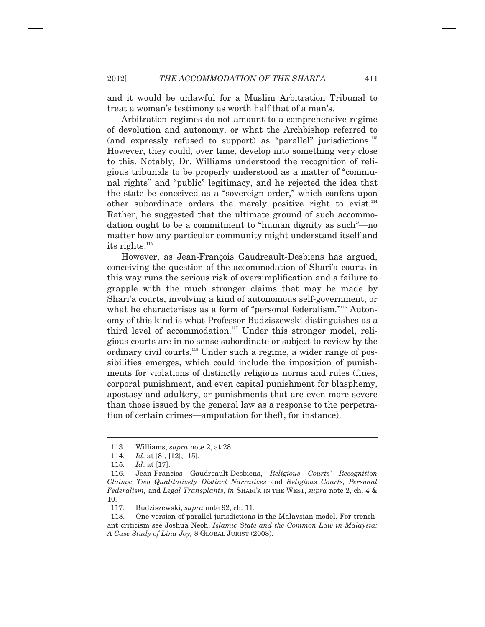and it would be unlawful for a Muslim Arbitration Tribunal to treat a woman's testimony as worth half that of a man's.

Arbitration regimes do not amount to a comprehensive regime of devolution and autonomy, or what the Archbishop referred to (and expressly refused to support) as "parallel" jurisdictions.<sup>113</sup> However, they could, over time, develop into something very close to this. Notably, Dr. Williams understood the recognition of religious tribunals to be properly understood as a matter of "communal rights" and "public" legitimacy, and he rejected the idea that the state be conceived as a "sovereign order," which confers upon other subordinate orders the merely positive right to exist. $114$ Rather, he suggested that the ultimate ground of such accommodation ought to be a commitment to "human dignity as such"—no matter how any particular community might understand itself and  $its$  rights. $^{115}$ 

However, as Jean-François Gaudreault-Desbiens has argued, conceiving the question of the accommodation of Shari'a courts in this way runs the serious risk of oversimplification and a failure to grapple with the much stronger claims that may be made by Shari'a courts, involving a kind of autonomous self-government, or what he characterises as a form of "personal federalism."<sup>116</sup> Autonomy of this kind is what Professor Budziszewski distinguishes as a third level of accommodation.<sup>117</sup> Under this stronger model, religious courts are in no sense subordinate or subject to review by the ordinary civil courts.<sup>118</sup> Under such a regime, a wider range of possibilities emerges, which could include the imposition of punishments for violations of distinctly religious norms and rules (fines, corporal punishment, and even capital punishment for blasphemy, apostasy and adultery, or punishments that are even more severe than those issued by the general law as a response to the perpetration of certain crimes—amputation for theft, for instance).

 <sup>113.</sup> Williams, *supra* note 2, at 28.

 <sup>114</sup>*. Id*. at [8], [12], [15].

 <sup>115</sup>*. Id*. at [17].

 <sup>116.</sup> Jean-Francios Gaudreault-Desbiens, *Religious Courts' Recognition Claims: Two Qualitatively Distinct Narratives* and *Religious Courts, Personal Federalism,* and *Legal Transplants*, *in* SHARI'A IN THE WEST, *supra* note 2, ch. 4 & 10.

 <sup>117.</sup> Budziszewski, *supra* note 92, ch. 11.

 <sup>118.</sup> One version of parallel jurisdictions is the Malaysian model. For trenchant criticism see Joshua Neoh, *Islamic State and the Common Law in Malaysia: A Case Study of Lina Joy,* 8 GLOBAL JURIST (2008).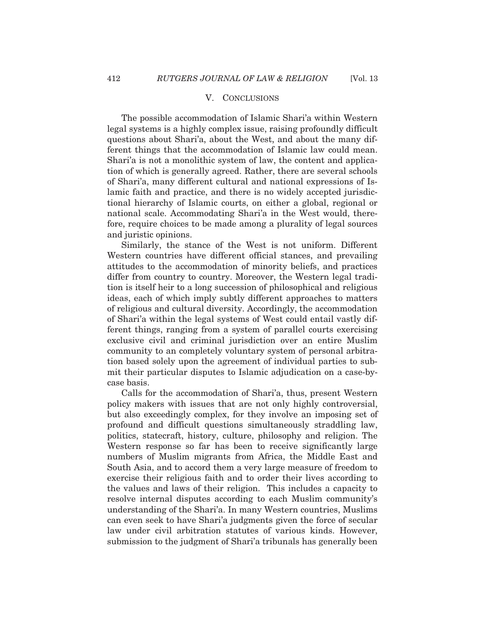### V. CONCLUSIONS

The possible accommodation of Islamic Shari'a within Western legal systems is a highly complex issue, raising profoundly difficult questions about Shari'a, about the West, and about the many different things that the accommodation of Islamic law could mean. Shari'a is not a monolithic system of law, the content and application of which is generally agreed. Rather, there are several schools of Shari'a, many different cultural and national expressions of Islamic faith and practice, and there is no widely accepted jurisdictional hierarchy of Islamic courts, on either a global, regional or national scale. Accommodating Shari'a in the West would, therefore, require choices to be made among a plurality of legal sources and juristic opinions.

Similarly, the stance of the West is not uniform. Different Western countries have different official stances, and prevailing attitudes to the accommodation of minority beliefs, and practices differ from country to country. Moreover, the Western legal tradition is itself heir to a long succession of philosophical and religious ideas, each of which imply subtly different approaches to matters of religious and cultural diversity. Accordingly, the accommodation of Shari'a within the legal systems of West could entail vastly different things, ranging from a system of parallel courts exercising exclusive civil and criminal jurisdiction over an entire Muslim community to an completely voluntary system of personal arbitration based solely upon the agreement of individual parties to submit their particular disputes to Islamic adjudication on a case-bycase basis.

Calls for the accommodation of Shari'a, thus, present Western policy makers with issues that are not only highly controversial, but also exceedingly complex, for they involve an imposing set of profound and difficult questions simultaneously straddling law, politics, statecraft, history, culture, philosophy and religion. The Western response so far has been to receive significantly large numbers of Muslim migrants from Africa, the Middle East and South Asia, and to accord them a very large measure of freedom to exercise their religious faith and to order their lives according to the values and laws of their religion. This includes a capacity to resolve internal disputes according to each Muslim community's understanding of the Shari'a. In many Western countries, Muslims can even seek to have Shari'a judgments given the force of secular law under civil arbitration statutes of various kinds. However, submission to the judgment of Shari'a tribunals has generally been